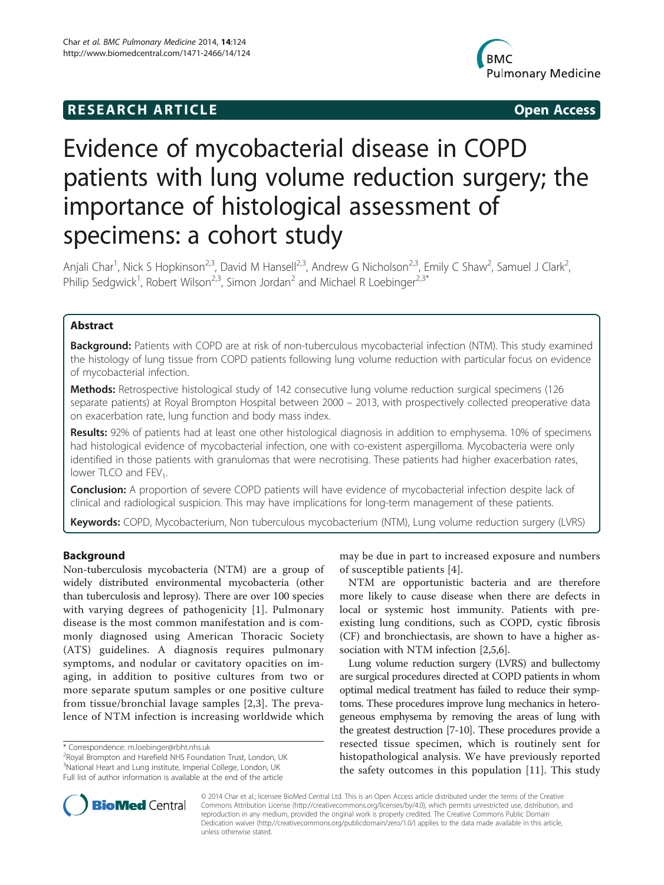# **RESEARCH ARTICLE Example 2014 CONSIDERING CONSIDERING CONSIDERING CONSIDERING CONSIDERING CONSIDERING CONSIDERING CONSIDERING CONSIDERING CONSIDERING CONSIDERING CONSIDERING CONSIDERING CONSIDERING CONSIDERING CONSIDE**



# Evidence of mycobacterial disease in COPD patients with lung volume reduction surgery; the importance of histological assessment of specimens: a cohort study

Anjali Char<sup>1</sup>, Nick S Hopkinson<sup>2,3</sup>, David M Hansell<sup>2,3</sup>, Andrew G Nicholson<sup>2,3</sup>, Emily C Shaw<sup>2</sup>, Samuel J Clark<sup>2</sup> , Philip Sedgwick<sup>1</sup>, Robert Wilson<sup>2,3</sup>, Simon Jordan<sup>2</sup> and Michael R Loebinger<sup>2,3\*</sup>

# Abstract

Background: Patients with COPD are at risk of non-tuberculous mycobacterial infection (NTM). This study examined the histology of lung tissue from COPD patients following lung volume reduction with particular focus on evidence of mycobacterial infection.

Methods: Retrospective histological study of 142 consecutive lung volume reduction surgical specimens (126 separate patients) at Royal Brompton Hospital between 2000 – 2013, with prospectively collected preoperative data on exacerbation rate, lung function and body mass index.

Results: 92% of patients had at least one other histological diagnosis in addition to emphysema. 10% of specimens had histological evidence of mycobacterial infection, one with co-existent aspergilloma. Mycobacteria were only identified in those patients with granulomas that were necrotising. These patients had higher exacerbation rates, lower TLCO and  $FEV<sub>1</sub>$ .

Conclusion: A proportion of severe COPD patients will have evidence of mycobacterial infection despite lack of clinical and radiological suspicion. This may have implications for long-term management of these patients.

Keywords: COPD, Mycobacterium, Non tuberculous mycobacterium (NTM), Lung volume reduction surgery (LVRS)

# Background

Non-tuberculosis mycobacteria (NTM) are a group of widely distributed environmental mycobacteria (other than tuberculosis and leprosy). There are over 100 species with varying degrees of pathogenicity [\[1](#page-5-0)]. Pulmonary disease is the most common manifestation and is commonly diagnosed using American Thoracic Society (ATS) guidelines. A diagnosis requires pulmonary symptoms, and nodular or cavitatory opacities on imaging, in addition to positive cultures from two or more separate sputum samples or one positive culture from tissue/bronchial lavage samples [[2,3\]](#page-5-0). The prevalence of NTM infection is increasing worldwide which

<sup>2</sup>Royal Brompton and Harefield NHS Foundation Trust, London, UK <sup>3</sup>National Heart and Lung institute, Imperial College, London, UK Full list of author information is available at the end of the article

may be due in part to increased exposure and numbers of susceptible patients [[4](#page-5-0)].

NTM are opportunistic bacteria and are therefore more likely to cause disease when there are defects in local or systemic host immunity. Patients with preexisting lung conditions, such as COPD, cystic fibrosis (CF) and bronchiectasis, are shown to have a higher association with NTM infection [\[2,5,6](#page-5-0)].

Lung volume reduction surgery (LVRS) and bullectomy are surgical procedures directed at COPD patients in whom optimal medical treatment has failed to reduce their symptoms. These procedures improve lung mechanics in heterogeneous emphysema by removing the areas of lung with the greatest destruction [\[7](#page-5-0)-[10](#page-6-0)]. These procedures provide a resected tissue specimen, which is routinely sent for histopathological analysis. We have previously reported the safety outcomes in this population [[11\]](#page-6-0). This study



© 2014 Char et al.; licensee BioMed Central Ltd. This is an Open Access article distributed under the terms of the Creative Commons Attribution License [\(http://creativecommons.org/licenses/by/4.0\)](http://creativecommons.org/licenses/by/4.0), which permits unrestricted use, distribution, and reproduction in any medium, provided the original work is properly credited. The Creative Commons Public Domain Dedication waiver [\(http://creativecommons.org/publicdomain/zero/1.0/](http://creativecommons.org/publicdomain/zero/1.0/)) applies to the data made available in this article, unless otherwise stated.

<sup>\*</sup> Correspondence: [m.loebinger@rbht.nhs.uk](mailto:m.loebinger@rbht.nhs.uk) <sup>2</sup>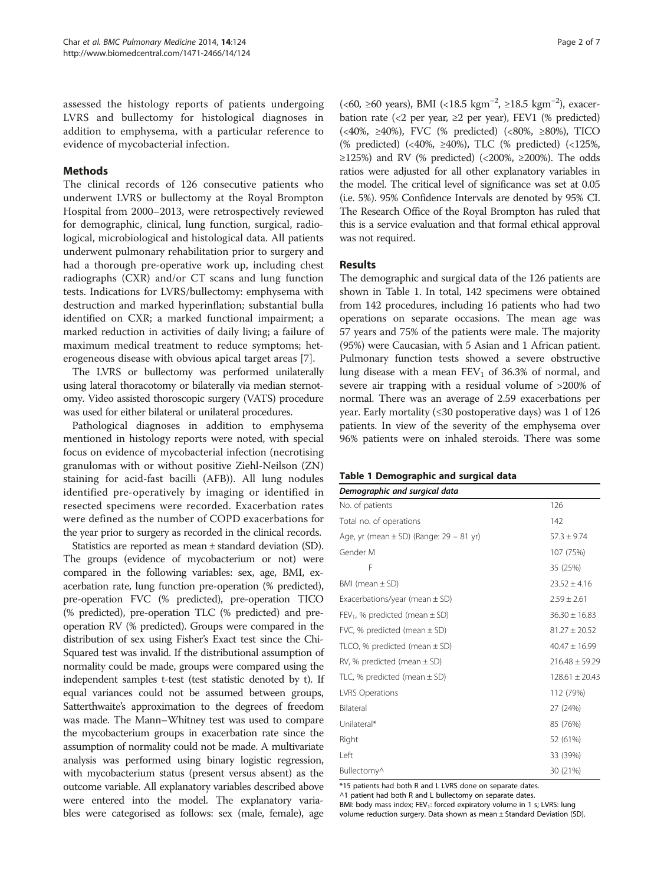assessed the histology reports of patients undergoing LVRS and bullectomy for histological diagnoses in addition to emphysema, with a particular reference to evidence of mycobacterial infection.

# Methods

The clinical records of 126 consecutive patients who underwent LVRS or bullectomy at the Royal Brompton Hospital from 2000–2013, were retrospectively reviewed for demographic, clinical, lung function, surgical, radiological, microbiological and histological data. All patients underwent pulmonary rehabilitation prior to surgery and had a thorough pre-operative work up, including chest radiographs (CXR) and/or CT scans and lung function tests. Indications for LVRS/bullectomy: emphysema with destruction and marked hyperinflation; substantial bulla identified on CXR; a marked functional impairment; a marked reduction in activities of daily living; a failure of maximum medical treatment to reduce symptoms; heterogeneous disease with obvious apical target areas [[7\]](#page-5-0).

The LVRS or bullectomy was performed unilaterally using lateral thoracotomy or bilaterally via median sternotomy. Video assisted thoroscopic surgery (VATS) procedure was used for either bilateral or unilateral procedures.

Pathological diagnoses in addition to emphysema mentioned in histology reports were noted, with special focus on evidence of mycobacterial infection (necrotising granulomas with or without positive Ziehl-Neilson (ZN) staining for acid-fast bacilli (AFB)). All lung nodules identified pre-operatively by imaging or identified in resected specimens were recorded. Exacerbation rates were defined as the number of COPD exacerbations for the year prior to surgery as recorded in the clinical records.

Statistics are reported as mean ± standard deviation (SD). The groups (evidence of mycobacterium or not) were compared in the following variables: sex, age, BMI, exacerbation rate, lung function pre-operation (% predicted), pre-operation FVC (% predicted), pre-operation TICO (% predicted), pre-operation TLC (% predicted) and preoperation RV (% predicted). Groups were compared in the distribution of sex using Fisher's Exact test since the Chi-Squared test was invalid. If the distributional assumption of normality could be made, groups were compared using the independent samples t-test (test statistic denoted by t). If equal variances could not be assumed between groups, Satterthwaite's approximation to the degrees of freedom was made. The Mann–Whitney test was used to compare the mycobacterium groups in exacerbation rate since the assumption of normality could not be made. A multivariate analysis was performed using binary logistic regression, with mycobacterium status (present versus absent) as the outcome variable. All explanatory variables described above were entered into the model. The explanatory variables were categorised as follows: sex (male, female), age

(<60, ≥60 years), BMI (<18.5 kgm−<sup>2</sup> , ≥18.5 kgm−<sup>2</sup> ), exacerbation rate (<2 per year,  $\geq$ 2 per year), FEV1 (% predicted) (<40%, ≥40%), FVC (% predicted) (<80%, ≥80%), TICO (% predicted) (<40%, ≥40%), TLC (% predicted) (<125%,  $\geq$ 125%) and RV (% predicted) (<200%,  $\geq$ 200%). The odds ratios were adjusted for all other explanatory variables in the model. The critical level of significance was set at 0.05 (i.e. 5%). 95% Confidence Intervals are denoted by 95% CI. The Research Office of the Royal Brompton has ruled that this is a service evaluation and that formal ethical approval was not required.

# Results

The demographic and surgical data of the 126 patients are shown in Table 1. In total, 142 specimens were obtained from 142 procedures, including 16 patients who had two operations on separate occasions. The mean age was 57 years and 75% of the patients were male. The majority (95%) were Caucasian, with 5 Asian and 1 African patient. Pulmonary function tests showed a severe obstructive lung disease with a mean  $FEV<sub>1</sub>$  of 36.3% of normal, and severe air trapping with a residual volume of >200% of normal. There was an average of 2.59 exacerbations per year. Early mortality ( $\leq$ 30 postoperative days) was 1 of 126 patients. In view of the severity of the emphysema over 96% patients were on inhaled steroids. There was some

### Table 1 Demographic and surgical data

| Demographic and surgical data                  |                    |
|------------------------------------------------|--------------------|
| No. of patients                                | 126                |
| Total no. of operations                        | 142                |
| Age, yr (mean $\pm$ SD) (Range: 29 – 81 yr)    | $57.3 \pm 9.74$    |
| Gender M                                       | 107 (75%)          |
| F                                              | 35 (25%)           |
| BMI (mean $\pm$ SD)                            | $23.52 + 4.16$     |
| Exacerbations/year (mean $\pm$ SD)             | $2.59 \pm 2.61$    |
| FEV <sub>1</sub> , % predicted (mean $\pm$ SD) | $36.30 \pm 16.83$  |
| FVC, % predicted (mean $\pm$ SD)               | $81.27 \pm 20.52$  |
| TLCO, % predicted (mean $\pm$ SD)              | $40.47 \pm 16.99$  |
| RV, % predicted (mean $\pm$ SD)                | $216.48 \pm 59.29$ |
| TLC, % predicted (mean $\pm$ SD)               | $128.61 \pm 20.43$ |
| <b>LVRS Operations</b>                         | 112 (79%)          |
| Bilateral                                      | 27 (24%)           |
| Unilateral*                                    | 85 (76%)           |
| Right                                          | 52 (61%)           |
| l eft                                          | 33 (39%)           |
| Bullectomy^                                    | 30 (21%)           |

\*15 patients had both R and L LVRS done on separate dates.

^1 patient had both R and L bullectomy on separate dates.

BMI: body mass index;  $FEV_1$ : forced expiratory volume in 1 s; LVRS: lung volume reduction surgery. Data shown as mean ± Standard Deviation (SD).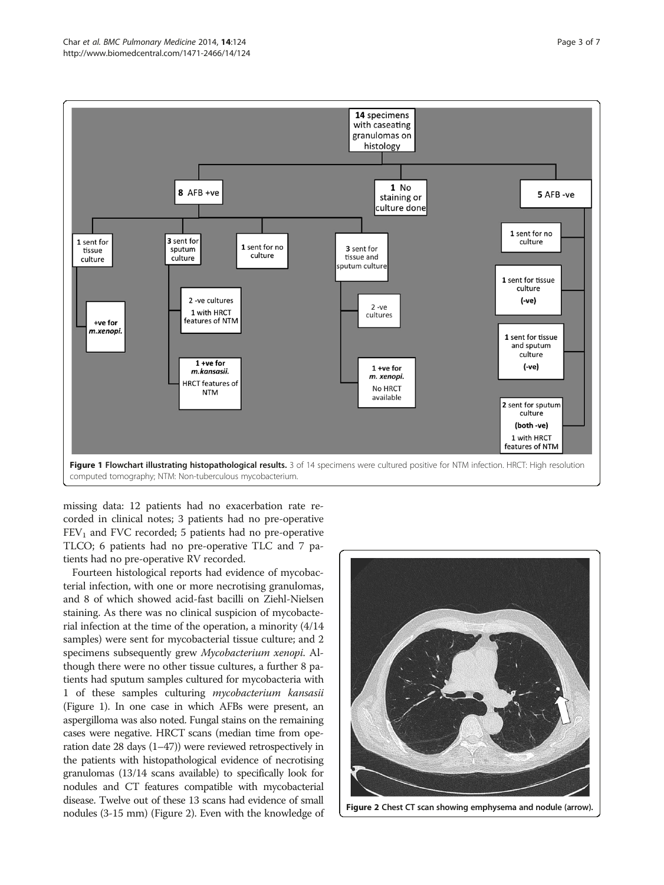

missing data: 12 patients had no exacerbation rate recorded in clinical notes; 3 patients had no pre-operative FEV<sub>1</sub> and FVC recorded; 5 patients had no pre-operative TLCO; 6 patients had no pre-operative TLC and 7 patients had no pre-operative RV recorded.

Fourteen histological reports had evidence of mycobacterial infection, with one or more necrotising granulomas, and 8 of which showed acid-fast bacilli on Ziehl-Nielsen staining. As there was no clinical suspicion of mycobacterial infection at the time of the operation, a minority (4/14 samples) were sent for mycobacterial tissue culture; and 2 specimens subsequently grew Mycobacterium xenopi. Although there were no other tissue cultures, a further 8 patients had sputum samples cultured for mycobacteria with 1 of these samples culturing mycobacterium kansasii (Figure 1). In one case in which AFBs were present, an aspergilloma was also noted. Fungal stains on the remaining cases were negative. HRCT scans (median time from operation date 28 days (1–47)) were reviewed retrospectively in the patients with histopathological evidence of necrotising granulomas (13/14 scans available) to specifically look for nodules and CT features compatible with mycobacterial disease. Twelve out of these 13 scans had evidence of small nodules (3-15 mm) (Figure 2). Even with the knowledge of



Figure 2 Chest CT scan showing emphysema and nodule (arrow).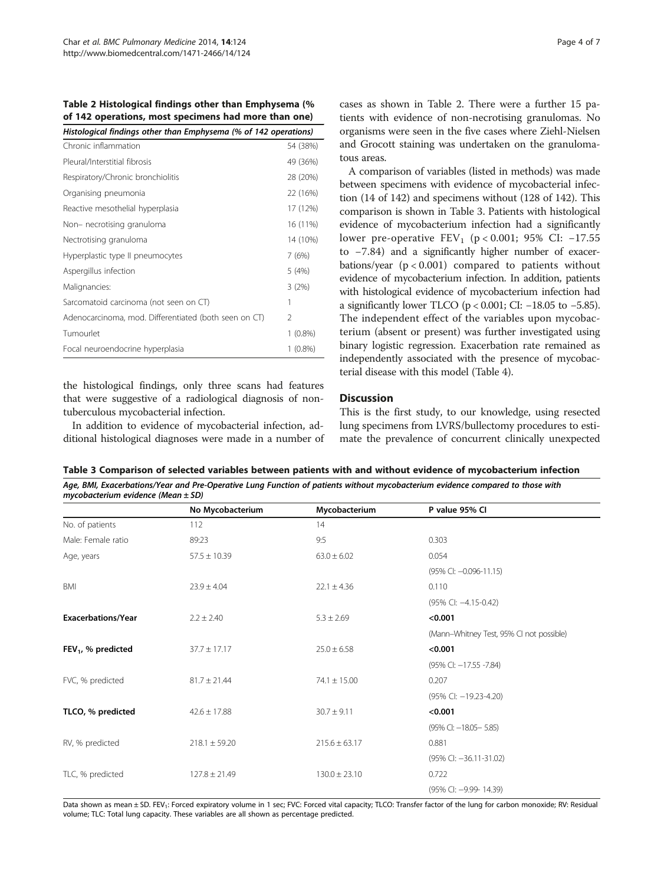Table 2 Histological findings other than Emphysema (% of 142 operations, most specimens had more than one)

| Histological findings other than Emphysema (% of 142 operations) |               |
|------------------------------------------------------------------|---------------|
| Chronic inflammation                                             | 54 (38%)      |
| Pleural/Interstitial fibrosis                                    | 49 (36%)      |
| Respiratory/Chronic bronchiolitis                                | 28 (20%)      |
| Organising pneumonia                                             | 22 (16%)      |
| Reactive mesothelial hyperplasia                                 | 17 (12%)      |
| Non- necrotising granuloma                                       | 16 (11%)      |
| Nectrotising granuloma                                           | 14 (10%)      |
| Hyperplastic type II pneumocytes                                 | 7(6%)         |
| Aspergillus infection                                            | 5(4%)         |
| Malignancies:                                                    | 3(2%)         |
| Sarcomatoid carcinoma (not seen on CT)                           |               |
| Adenocarcinoma, mod. Differentiated (both seen on CT)            | $\mathcal{P}$ |
| Tumourlet                                                        | 1 (0.8%)      |
| Focal neuroendocrine hyperplasia                                 | 1 (0.8%)      |

the histological findings, only three scans had features that were suggestive of a radiological diagnosis of nontuberculous mycobacterial infection.

In addition to evidence of mycobacterial infection, additional histological diagnoses were made in a number of

cases as shown in Table 2. There were a further 15 patients with evidence of non-necrotising granulomas. No organisms were seen in the five cases where Ziehl-Nielsen and Grocott staining was undertaken on the granulomatous areas.

A comparison of variables (listed in methods) was made between specimens with evidence of mycobacterial infection (14 of 142) and specimens without (128 of 142). This comparison is shown in Table 3. Patients with histological evidence of mycobacterium infection had a significantly lower pre-operative  $FEV_1$  (p < 0.001; 95% CI: -17.55 to −7.84) and a significantly higher number of exacerbations/year  $(p < 0.001)$  compared to patients without evidence of mycobacterium infection. In addition, patients with histological evidence of mycobacterium infection had a significantly lower TLCO ( $p < 0.001$ ; CI:  $-18.05$  to  $-5.85$ ). The independent effect of the variables upon mycobacterium (absent or present) was further investigated using binary logistic regression. Exacerbation rate remained as independently associated with the presence of mycobacterial disease with this model (Table [4](#page-4-0)).

## **Discussion**

This is the first study, to our knowledge, using resected lung specimens from LVRS/bullectomy procedures to estimate the prevalence of concurrent clinically unexpected

Table 3 Comparison of selected variables between patients with and without evidence of mycobacterium infection Age, BMI, Exacerbations/Year and Pre-Operative Lung Function of patients without mycobacterium evidence compared to those with

| mycobacterium evidence (Mean $\pm$ SD) |                   |                   |                                          |  |
|----------------------------------------|-------------------|-------------------|------------------------------------------|--|
|                                        | No Mycobacterium  | Mycobacterium     | P value 95% CI                           |  |
| No. of patients                        | 112               | 14                |                                          |  |
| Male: Female ratio                     | 89:23             | 9:5               | 0.303                                    |  |
| Age, years                             | $57.5 \pm 10.39$  | $63.0 \pm 6.02$   | 0.054                                    |  |
|                                        |                   |                   | $(95\%$ CI: $-0.096-11.15)$              |  |
| <b>BMI</b>                             | $23.9 \pm 4.04$   | $22.1 \pm 4.36$   | 0.110                                    |  |
|                                        |                   |                   | $(95\%$ CI: $-4.15-0.42)$                |  |
| <b>Exacerbations/Year</b>              | $2.2 \pm 2.40$    | $5.3 \pm 2.69$    | < 0.001                                  |  |
|                                        |                   |                   | (Mann-Whitney Test, 95% CI not possible) |  |
| $FEV1$ , % predicted                   | $37.7 \pm 17.17$  | $25.0 \pm 6.58$   | < 0.001                                  |  |
|                                        |                   |                   | (95% CI: -17.55 -7.84)                   |  |
| FVC, % predicted                       | $81.7 \pm 21.44$  | $74.1 \pm 15.00$  | 0.207                                    |  |
|                                        |                   |                   | (95% CI: -19.23-4.20)                    |  |
| TLCO, % predicted                      | $42.6 \pm 17.88$  | $30.7 \pm 9.11$   | < 0.001                                  |  |
|                                        |                   |                   | $(95\%$ CI: $-18.05 - 5.85)$             |  |
| RV, % predicted                        | $218.1 \pm 59.20$ | $215.6 \pm 63.17$ | 0.881                                    |  |
|                                        |                   |                   | $(95\%$ CI: $-36.11 - 31.02)$            |  |
| TLC, % predicted                       | $127.8 \pm 21.49$ | $130.0 \pm 23.10$ | 0.722                                    |  |
|                                        |                   |                   | (95% CI: -9.99- 14.39)                   |  |

Data shown as mean ± SD. FEV<sub>1</sub>: Forced expiratory volume in 1 sec; FVC: Forced vital capacity; TLCO: Transfer factor of the lung for carbon monoxide; RV: Residual volume; TLC: Total lung capacity. These variables are all shown as percentage predicted.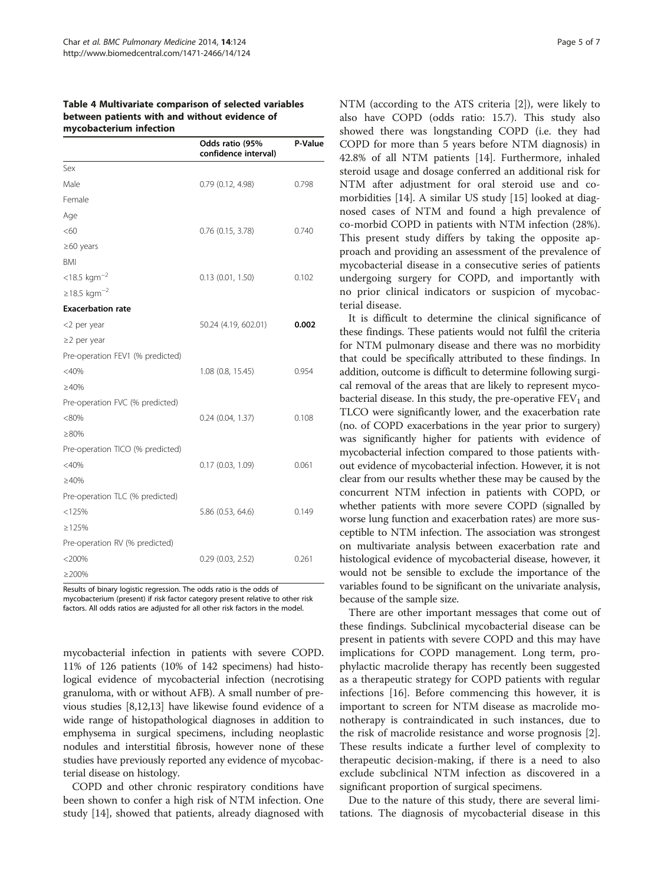<span id="page-4-0"></span>Table 4 Multivariate comparison of selected variables between patients with and without evidence of mycobacterium infection

|                                  | Odds ratio (95%<br>confidence interval) | P-Value |
|----------------------------------|-----------------------------------------|---------|
| Sex                              |                                         |         |
| Male                             | 0.79(0.12, 4.98)                        | 0.798   |
| Female                           |                                         |         |
| Age                              |                                         |         |
| <60                              | $0.76$ $(0.15, 3.78)$                   | 0.740   |
| $\geq$ 60 years                  |                                         |         |
| <b>BMI</b>                       |                                         |         |
| $<$ 18.5 kgm <sup>-2</sup>       | $0.13$ $(0.01, 1.50)$                   | 0.102   |
| ≥18.5 kgm <sup>-2</sup>          |                                         |         |
| <b>Exacerbation rate</b>         |                                         |         |
| <2 per year                      | 50.24 (4.19, 602.01)                    | 0.002   |
| $\geq$ 2 per year                |                                         |         |
| Pre-operation FEV1 (% predicted) |                                         |         |
| $<$ 40%                          | 1.08 (0.8, 15.45)                       | 0.954   |
| $\geq 40\%$                      |                                         |         |
| Pre-operation FVC (% predicted)  |                                         |         |
| < 80%                            | $0.24$ (0.04, 1.37)                     | 0.108   |
| $\geq 80\%$                      |                                         |         |
| Pre-operation TICO (% predicted) |                                         |         |
| $<$ 40%                          | 0.17 (0.03, 1.09)                       | 0.061   |
| ≥40%                             |                                         |         |
| Pre-operation TLC (% predicted)  |                                         |         |
| < 125%                           | 5.86 (0.53, 64.6)                       | 0.149   |
| $\geq 125%$                      |                                         |         |
| Pre-operation RV (% predicted)   |                                         |         |
| $< 200\%$                        | $0.29$ $(0.03, 2.52)$                   | 0.261   |
| $\geq$ 200%                      |                                         |         |

Results of binary logistic regression. The odds ratio is the odds of mycobacterium (present) if risk factor category present relative to other risk factors. All odds ratios are adjusted for all other risk factors in the model.

mycobacterial infection in patients with severe COPD. 11% of 126 patients (10% of 142 specimens) had histological evidence of mycobacterial infection (necrotising granuloma, with or without AFB). A small number of previous studies [\[8,](#page-5-0)[12,13](#page-6-0)] have likewise found evidence of a wide range of histopathological diagnoses in addition to emphysema in surgical specimens, including neoplastic nodules and interstitial fibrosis, however none of these studies have previously reported any evidence of mycobacterial disease on histology.

COPD and other chronic respiratory conditions have been shown to confer a high risk of NTM infection. One study [\[14](#page-6-0)], showed that patients, already diagnosed with NTM (according to the ATS criteria [[2\]](#page-5-0)), were likely to also have COPD (odds ratio: 15.7). This study also showed there was longstanding COPD (i.e. they had COPD for more than 5 years before NTM diagnosis) in 42.8% of all NTM patients [\[14](#page-6-0)]. Furthermore, inhaled steroid usage and dosage conferred an additional risk for NTM after adjustment for oral steroid use and comorbidities [\[14](#page-6-0)]. A similar US study [[15](#page-6-0)] looked at diagnosed cases of NTM and found a high prevalence of co-morbid COPD in patients with NTM infection (28%). This present study differs by taking the opposite approach and providing an assessment of the prevalence of mycobacterial disease in a consecutive series of patients undergoing surgery for COPD, and importantly with no prior clinical indicators or suspicion of mycobacterial disease.

It is difficult to determine the clinical significance of these findings. These patients would not fulfil the criteria for NTM pulmonary disease and there was no morbidity that could be specifically attributed to these findings. In addition, outcome is difficult to determine following surgical removal of the areas that are likely to represent mycobacterial disease. In this study, the pre-operative  $FEV<sub>1</sub>$  and TLCO were significantly lower, and the exacerbation rate (no. of COPD exacerbations in the year prior to surgery) was significantly higher for patients with evidence of mycobacterial infection compared to those patients without evidence of mycobacterial infection. However, it is not clear from our results whether these may be caused by the concurrent NTM infection in patients with COPD, or whether patients with more severe COPD (signalled by worse lung function and exacerbation rates) are more susceptible to NTM infection. The association was strongest on multivariate analysis between exacerbation rate and histological evidence of mycobacterial disease, however, it would not be sensible to exclude the importance of the variables found to be significant on the univariate analysis, because of the sample size.

There are other important messages that come out of these findings. Subclinical mycobacterial disease can be present in patients with severe COPD and this may have implications for COPD management. Long term, prophylactic macrolide therapy has recently been suggested as a therapeutic strategy for COPD patients with regular infections [[16](#page-6-0)]. Before commencing this however, it is important to screen for NTM disease as macrolide monotherapy is contraindicated in such instances, due to the risk of macrolide resistance and worse prognosis [\[2](#page-5-0)]. These results indicate a further level of complexity to therapeutic decision-making, if there is a need to also exclude subclinical NTM infection as discovered in a significant proportion of surgical specimens.

Due to the nature of this study, there are several limitations. The diagnosis of mycobacterial disease in this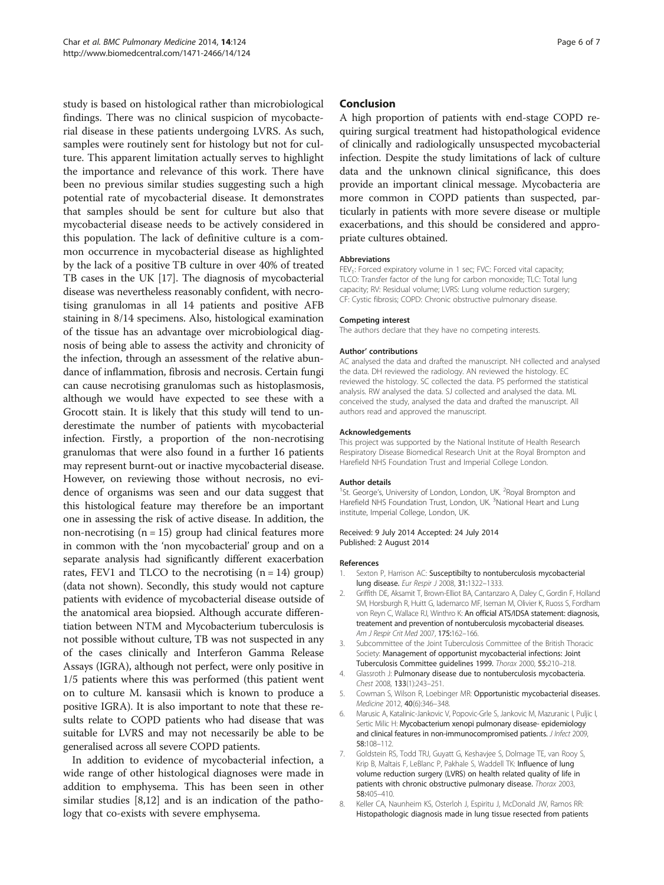<span id="page-5-0"></span>study is based on histological rather than microbiological findings. There was no clinical suspicion of mycobacterial disease in these patients undergoing LVRS. As such, samples were routinely sent for histology but not for culture. This apparent limitation actually serves to highlight the importance and relevance of this work. There have been no previous similar studies suggesting such a high potential rate of mycobacterial disease. It demonstrates that samples should be sent for culture but also that mycobacterial disease needs to be actively considered in this population. The lack of definitive culture is a common occurrence in mycobacterial disease as highlighted by the lack of a positive TB culture in over 40% of treated TB cases in the UK [\[17\]](#page-6-0). The diagnosis of mycobacterial disease was nevertheless reasonably confident, with necrotising granulomas in all 14 patients and positive AFB staining in 8/14 specimens. Also, histological examination of the tissue has an advantage over microbiological diagnosis of being able to assess the activity and chronicity of the infection, through an assessment of the relative abundance of inflammation, fibrosis and necrosis. Certain fungi can cause necrotising granulomas such as histoplasmosis, although we would have expected to see these with a Grocott stain. It is likely that this study will tend to underestimate the number of patients with mycobacterial infection. Firstly, a proportion of the non-necrotising granulomas that were also found in a further 16 patients may represent burnt-out or inactive mycobacterial disease. However, on reviewing those without necrosis, no evidence of organisms was seen and our data suggest that this histological feature may therefore be an important one in assessing the risk of active disease. In addition, the non-necrotising  $(n = 15)$  group had clinical features more in common with the 'non mycobacterial' group and on a separate analysis had significantly different exacerbation rates, FEV1 and TLCO to the necrotising  $(n = 14)$  group) (data not shown). Secondly, this study would not capture patients with evidence of mycobacterial disease outside of the anatomical area biopsied. Although accurate differentiation between NTM and Mycobacterium tuberculosis is not possible without culture, TB was not suspected in any of the cases clinically and Interferon Gamma Release Assays (IGRA), although not perfect, were only positive in 1/5 patients where this was performed (this patient went on to culture M. kansasii which is known to produce a positive IGRA). It is also important to note that these results relate to COPD patients who had disease that was suitable for LVRS and may not necessarily be able to be generalised across all severe COPD patients.

In addition to evidence of mycobacterial infection, a wide range of other histological diagnoses were made in addition to emphysema. This has been seen in other similar studies [8,[12](#page-6-0)] and is an indication of the pathology that co-exists with severe emphysema.

# Conclusion

A high proportion of patients with end-stage COPD requiring surgical treatment had histopathological evidence of clinically and radiologically unsuspected mycobacterial infection. Despite the study limitations of lack of culture data and the unknown clinical significance, this does provide an important clinical message. Mycobacteria are more common in COPD patients than suspected, particularly in patients with more severe disease or multiple exacerbations, and this should be considered and appropriate cultures obtained.

#### Abbreviations

FEV<sub>1</sub>: Forced expiratory volume in 1 sec; FVC: Forced vital capacity; TLCO: Transfer factor of the lung for carbon monoxide; TLC: Total lung capacity; RV: Residual volume; LVRS: Lung volume reduction surgery; CF: Cystic fibrosis; COPD: Chronic obstructive pulmonary disease.

#### Competing interest

The authors declare that they have no competing interests.

#### Author' contributions

AC analysed the data and drafted the manuscript. NH collected and analysed the data. DH reviewed the radiology. AN reviewed the histology. EC reviewed the histology. SC collected the data. PS performed the statistical analysis. RW analysed the data. SJ collected and analysed the data. ML conceived the study, analysed the data and drafted the manuscript. All authors read and approved the manuscript.

#### Acknowledgements

This project was supported by the National Institute of Health Research Respiratory Disease Biomedical Research Unit at the Royal Brompton and Harefield NHS Foundation Trust and Imperial College London.

#### Author details

<sup>1</sup>St. George's, University of London, London, UK. <sup>2</sup>Royal Brompton and Harefield NHS Foundation Trust, London, UK.<sup>3</sup>National Heart and Lung institute, Imperial College, London, UK.

#### Received: 9 July 2014 Accepted: 24 July 2014 Published: 2 August 2014

#### References

- 1. Sexton P, Harrison AC: Susceptibilty to nontuberculosis mycobacterial lung disease. Eur Respir J 2008, 31:1322–1333.
- 2. Griffith DE, Aksamit T, Brown-Elliot BA, Cantanzaro A, Daley C, Gordin F, Holland SM, Horsburgh R, Huitt G, Iademarco MF, Iseman M, Olivier K, Ruoss S, Fordham von Reyn C, Wallace RJ, Winthro K: An official ATS/IDSA statement: diagnosis, treatement and prevention of nontuberculosis mycobacterial diseases. Am J Respir Crit Med 2007, 175:162–166.
- 3. Subcommittee of the Joint Tuberculosis Committee of the British Thoracic Society: Management of opportunist mycobacterial infections: Joint Tuberculosis Committee guidelines 1999. Thorax 2000, 55:210–218.
- 4. Glassroth J: Pulmonary disease due to nontuberculosis mycobacteria. Chest 2008, 133(1):243–251.
- 5. Cowman S, Wilson R, Loebinger MR: Opportunistic mycobacterial diseases. Medicine 2012, 40(6):346–348.
- 6. Marusic A, Katalinic-Jankovic V, Popovic-Grle S, Jankovic M, Mazuranic I, Puljic I, Sertic Milic H: Mycobacterium xenopi pulmonary disease- epidemiology and clinical features in non-immunocompromised patients. J Infect 2009, 58:108–112.
- 7. Goldstein RS, Todd TRJ, Guyatt G, Keshavjee S, Dolmage TE, van Rooy S, Krip B, Maltais F, LeBlanc P, Pakhale S, Waddell TK: Influence of lung volume reduction surgery (LVRS) on health related quality of life in patients with chronic obstructive pulmonary disease. Thorax 2003, 58:405–410.
- 8. Keller CA, Naunheim KS, Osterloh J, Espiritu J, McDonald JW, Ramos RR: Histopathologic diagnosis made in lung tissue resected from patients